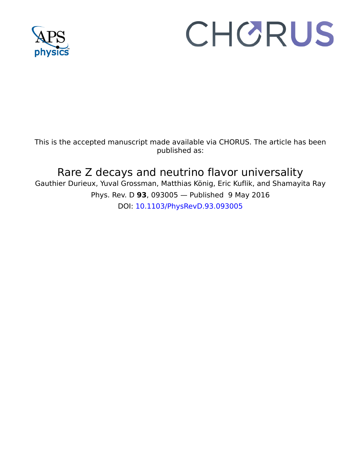

# CHORUS

This is the accepted manuscript made available via CHORUS. The article has been published as:

# Rare Z decays and neutrino flavor universality

Gauthier Durieux, Yuval Grossman, Matthias König, Eric Kuflik, and Shamayita Ray Phys. Rev. D **93**, 093005 — Published 9 May 2016 DOI: [10.1103/PhysRevD.93.093005](http://dx.doi.org/10.1103/PhysRevD.93.093005)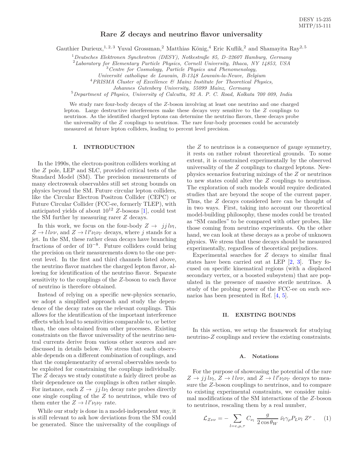# **Rare** *Z* **decays and neutrino flavor universality**

Gauthier Durieux, <sup>1, 2, 3</sup> Yuval Grossman,<sup>2</sup> Matthias König, <sup>4</sup> Eric Kuflik, <sup>2</sup> and Shamayita Ray<sup>2, 5</sup>

<sup>1</sup>*Deutsches Elektronen Synchrotron (DESY), Notkestraße 85, D–22607 Hamburg, Germany*

<sup>2</sup>*Laboratory for Elementary Particle Physics, Cornell University, Ithaca, NY 14853, USA*

<sup>3</sup>*Centre for Cosmology, Particle Physics and Phenomenology,*

*Universit´e catholique de Louvain, B-1348 Louvain-la-Neuve, Belgium* <sup>4</sup>*PRISMA Cluster of Excellence & Mainz Institute for Theoretical Physics,*

*Johannes Gutenberg University, 55099 Mainz, Germany*

<sup>5</sup>*Department of Physics, University of Calcutta, 92 A. P. C. Road, Kolkata 700 009, India*

We study rare four-body decays of the *Z*-boson involving at least one neutrino and one charged lepton. Large destructive interferences make these decays very sensitive to the *Z* couplings to neutrinos. As the identified charged leptons can determine the neutrino flavors, these decays probe the universality of the *Z* couplings to neutrinos. The rare four-body processes could be accurately measured at future lepton colliders, leading to percent level precision.

#### **I. INTRODUCTION**

In the 1990s, the electron-positron colliders working at the *Z* pole, LEP and SLC, provided critical tests of the Standard Model (SM). The precision measurements of many electroweak observables still set strong bounds on physics beyond the SM. Future circular lepton colliders, like the Circular Electron Positron Collider (CEPC) or Future Circular Collider (FCC-ee, formerly TLEP), with anticipated yields of about  $10^{12}$  Z-bosons [\[1](#page-7-0)], could test the SM further by measuring rarer *Z* decays.

In this work, we focus on the four-body  $Z \to jj l\nu_l$ ,  $Z \rightarrow l \, l \nu \nu$ , and  $Z \rightarrow l \, l' \nu_l \nu_l$  decays, where *j* stands for a jet. In the SM, these rather clean decays have branching fractions of order of 10<sup>−</sup><sup>8</sup> . Future colliders could bring the precision on their measurements down to the one percent level. In the first and third channels listed above, the neutrino flavor matches the charged lepton flavor, allowing for identification of the neutrino flavor. Separate sensitivity to the couplings of the *Z*-boson to each flavor of neutrino is therefore obtained.

Instead of relying on a specific new-physics scenario, we adopt a simplified approach and study the dependence of the decay rates on the relevant couplings. This allows for the identification of the important interference effects which lead to sensitivities comparable to, or better than, the ones obtained from other processes. Existing constraints on the flavor universality of the neutrino neutral currents derive from various other sources and are discussed in details below. We stress that each observable depends on a different combination of couplings, and that the complementarity of several observables needs to be exploited for constraining the couplings individually. The *Z* decays we study constitute a fairly direct probe as their dependence on the couplings is often rather simple. For instance, each  $Z \rightarrow jj \, l \nu_l$  decay rate probes directly one single coupling of the *Z* to neutrinos, while two of them enter the  $Z \rightarrow l l' \nu_l \nu_l$  rate.

While our study is done in a model-independent way, it is still relevant to ask how deviations from the SM could be generated. Since the universality of the couplings of

the *Z* to neutrinos is a consequence of gauge symmetry, it rests on rather robust theoretical grounds. To some extent, it is constrained experimentally by the observed universality of the *Z* couplings to charged leptons. Newphysics scenarios featuring mixings of the *Z* or neutrinos to new states could alter the *Z* couplings to neutrinos. The exploration of such models would require dedicated studies that are beyond the scope of the current paper. Thus, the *Z* decays considered here can be thought of in two ways. First, taking into account our theoretical model-building philosophy, these modes could be treated as "SM candles" to be compared with other probes, like those coming from neutrino experiments. On the other hand, we can look at these decays as a probe of unknown physics. We stress that these decays should be measured experimentally, regardless of theoretical prejudices.

Experimental searches for *Z* decays to similar final states have been carried out at LEP  $[2, 3]$  $[2, 3]$  $[2, 3]$ . They focused on specific kinematical regions (with a displaced secondary vertex, or a boosted subsystem) that are populated in the presence of massive sterile neutrinos. A study of the probing power of the FCC-ee on such scenarios has been presented in Ref. [\[4,](#page-7-3) [5\]](#page-7-4).

#### **II. EXISTING BOUNDS**

In this section, we setup the framework for studying neutrino-*Z* couplings and review the existing constraints.

#### <span id="page-1-0"></span>**A. Notations**

For the purpose of showcasing the potential of the rare  $Z \rightarrow jj \, l\nu_l, Z \rightarrow l \, l\nu \nu,$  and  $Z \rightarrow l \, l'\nu_l\nu_{l'}$  decays to measure the *Z*-boson couplings to neutrinos, and to compare to existing experimental constraints, we consider minimal modifications of the SM interactions of the *Z*-boson to neutrinos, rescaling them by a real number,

$$
\mathcal{L}_{Z\nu\nu} = -\sum_{l=e,\mu,\tau} C_{\nu_l} \frac{g}{2\cos\theta_W} \bar{\nu}_l \gamma_\rho P_L \nu_l Z^\rho . \quad (1)
$$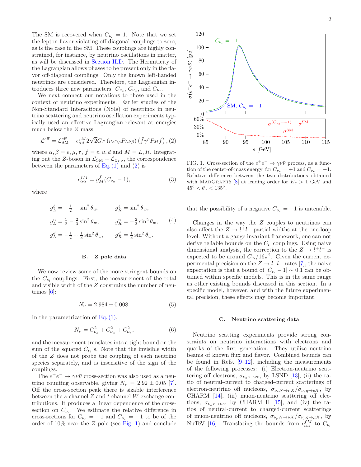The SM is recovered when  $C_{\nu_l} = 1$ . Note that we set the lepton flavor violating off-diagonal couplings to zero, as is the case in the SM. These couplings are highly constrained, for instance, by neutrino oscillations in matter, as will be discussed in [Section II.D.](#page-3-0) The Hermiticity of the Lagrangian allows phases to be present only in the flavor off-diagonal couplings. Only the known left-handed neutrinos are considered. Therefore, the Lagrangian introduces three new parameters:  $C_{\nu_e}$ ,  $C_{\nu_\mu}$ , and  $C_{\nu_\tau}$ .

We next connect our notations to those used in the context of neutrino experiments. Earlier studies of the Non-Standard Interactions (NSIs) of neutrinos in neutrino scattering and neutrino oscillation experiments typically used an effective Lagrangian relevant at energies much below the *Z* mass:

<span id="page-2-0"></span>
$$
\mathcal{L}^{\text{eff}} = \mathcal{L}^{\text{eff}}_{\text{SM}} - \epsilon_{\alpha\beta}^{fM} 2\sqrt{2} G_F \left(\bar{\nu}_{\alpha}\gamma_{\rho} P_L \nu_{\beta}\right) \left(\bar{f}\gamma^{\rho} P_M f\right), (2)
$$

where  $\alpha, \beta = e, \mu, \tau, f = e, u, d$  and  $M = L, R$ . Integrating out the *Z*-boson in  $\mathcal{L}_{SM} + \mathcal{L}_{Z\nu\nu}$ , the correspondence between the parameters of Eq.  $(1)$  and  $(2)$  is

$$
\epsilon_{\alpha\alpha}^{fM} = g_M^f (C_{\nu_\alpha} - 1), \tag{3}
$$

where

<span id="page-2-2"></span>
$$
g_L^{\ell} = -\frac{1}{2} + \sin^2 \theta_w, \qquad g_R^{\ell} = \sin^2 \theta_w, g_L^u = \frac{1}{2} - \frac{2}{3} \sin^2 \theta_w, \qquad g_R^u = -\frac{2}{3} \sin^2 \theta_w, g_L^d = -\frac{1}{2} + \frac{1}{3} \sin^2 \theta_w, \qquad g_R^d = \frac{1}{3} \sin^2 \theta_w.
$$
 (4)

#### **B.** *Z* **pole data**

We now review some of the more stringent bounds on the  $C_{\nu_l}$  couplings. First, the measurement of the total and visible width of the *Z* constrains the number of neutrinos [\[6](#page-7-5)]:

$$
N_{\nu} = 2.984 \pm 0.008. \tag{5}
$$

In the parametrization of Eq.  $(1)$ ,

$$
N_{\nu} = C_{\nu_e}^2 + C_{\nu_\mu}^2 + C_{\nu_\tau}^2,\tag{6}
$$

and the measurement translates into a tight bound on the sum of the squared  $C_{\nu}$ 's. Note that the invisible width of the *Z* does not probe the coupling of each neutrino species separately, and is insensitive of the sign of the couplings.

The  $e^+e^- \rightarrow \gamma \nu \bar{\nu}$  cross-section was also used as a neutrino counting observable, giving  $N_{\nu} = 2.92 \pm 0.05$  [\[7\]](#page-7-6). Off the cross-section peak there is sizable interference between the *s*-channel *Z* and *t*-channel *W* exchange contributions. It produces a linear dependence of the crosssection on  $C_{\nu_e}$ . We estimate the relative difference in cross-sections for  $C_{\nu_e}$  = +1 and  $C_{\nu_e}$  = -1 to be of the order of 10% near the *Z* pole (see [Fig. 1\)](#page-2-1) and conclude 2



<span id="page-2-1"></span>FIG. 1. Cross-section of the  $e^+e^- \rightarrow \gamma \nu \bar{\nu}$  process, as a function of the center-of-mass energy, for  $C_{\nu_e} = +1$  and  $C_{\nu_e} = -1$ . Relative difference between the two distributions obtained with MADGRAPH5 [\[8](#page-7-7)] at leading order for  $E_\gamma > 1$  GeV and  $45^\circ < \theta_\gamma < 135^\circ$ .

that the possibility of a negative  $C_{\nu_e} = -1$  is untenable.

Changes in the way the *Z* couples to neutrinos can also affect the  $Z \to l^+l^-$  partial widths at the one-loop level. Without a gauge invariant framework, one can not derive reliable bounds on the  $C_{\nu}$  couplings. Using naive dimensional analysis, the correction to the  $Z \to l^+l^-$  is expected to be around  $C_{\nu}$  /16 $\pi$ <sup>2</sup>. Given the current experimental precision on the  $Z \to l^+l^-$  rates [\[7](#page-7-6)], the naive expectation is that a bound of  $|C_{\nu_l} - 1| \sim 0.1$  can be obtained within specific models. This is in the same range as other existing bounds discussed in this section. In a specific model, however, and with the future experimental precision, these effects may become important.

#### <span id="page-2-3"></span>**C. Neutrino scattering data**

Neutrino scatting experiments provide strong constraints on neutrino interactions with electrons and quarks of the first generation. They utilize neutrino beams of known flux and flavor. Combined bounds can be found in Refs.  $[9-12]$ , including the measurements of the following processes: (i) Electron-neutrino scattering off electrons,  $\sigma_{\nu_e e \to \nu e}$ , by LSND [\[13](#page-7-10)], (ii) the ratio of neutral-current to charged-current scatterings of electron-neutrino off nucleons,  $\sigma_{\nu_e N \to \nu X}/\sigma_{\nu_e q \to e X}$ , by CHARM [\[14](#page-7-11)], (iii) muon-neutrino scattering off elections,  $\sigma_{\nu_{\mu}e \to \nu e}$ , by CHARM II [\[15](#page-7-12)], and (iv) the ratios of neutral-current to charged-current scatterings of muon-neutrino off nucleons,  $\sigma_{\nu_{\mu}N \to \nu X}/\sigma_{\nu_{\mu}q \to \mu X}$ , by NuTeV [\[16\]](#page-7-13). Translating the bounds from  $\epsilon_{\alpha\alpha}^{fM}$  to  $C_{\nu}$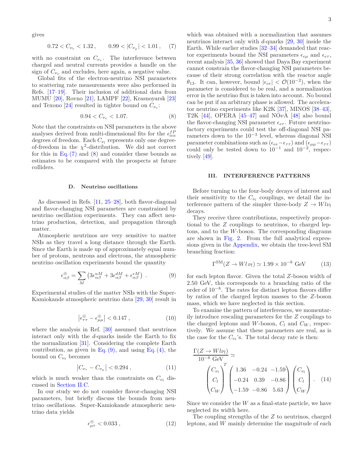gives

<span id="page-3-1"></span>
$$
0.72 < C_{\nu_e} < 1.32\,, \qquad 0.99 < |C_{\nu_\mu}| < 1.01\,, \tag{7}
$$

with no constraint on  $C_{\nu_{\tau}}$ . The interference between charged and neutral currents provides a handle on the sign of  $C_{\nu_e}$  and excludes, here again, a negative value.

Global fits of the electron-neutrino NSI parameters to scattering rate measurements were also performed in Refs. [\[17](#page-7-14)[–19\]](#page-7-15). Their inclusion of additional data from MUMU [\[20](#page-7-16)], Rovno [\[21](#page-7-17)], LAMPF [\[22\]](#page-7-18), Krasnoyarsk [\[23](#page-7-19)] and Texono [\[24\]](#page-7-20) resulted in tighter bound on *C<sup>ν</sup><sup>e</sup>* :

<span id="page-3-2"></span>
$$
0.94 < C_{\nu_e} < 1.07. \tag{8}
$$

Note that the constraints on NSI parameters in the above analyses derived from multi-dimensional fits for the  $\epsilon_{\alpha\alpha}^{fP}$ degrees of freedom. Each  $C_{ν<sub>l</sub>}$  represents only one degreeof-freedom in the  $\chi^2$ -distribution. We did not correct for this in Eq.  $(7)$  and  $(8)$  and consider these bounds as estimates to be compared with the prospects at future colliders.

#### <span id="page-3-0"></span>**D. Neutrino oscillations**

As discussed in Refs. [\[11,](#page-7-21) [25](#page-7-22)[–28\]](#page-8-0), both flavor-diagonal and flavor-changing NSI parameters are constrained by neutrino oscillation experiments. They can affect neutrino production, detection, and propagation through matter.

Atmospheric neutrinos are very sensitive to matter NSIs as they travel a long distance through the Earth. Since the Earth is made up of approximately equal number of protons, neutrons and electrons, the atmospheric neutrino oscillation experiments bound the quantity

$$
\epsilon_{\alpha\beta}^{\oplus} = \sum_{M} \left( 3\epsilon_{\alpha\beta}^{uM} + 3\epsilon_{\alpha\beta}^{dM} + \epsilon_{\alpha\beta}^{eM} \right) . \tag{9}
$$

Experimental studies of the matter NSIs with the Super-Kamiokande atmospheric neutrino data [\[29,](#page-8-1) [30\]](#page-8-2) result in

$$
\left| \epsilon_{\tau\tau}^{\oplus} - \epsilon_{\mu\mu}^{\oplus} \right| < 0.147 \,, \tag{10}
$$

where the analysis in Ref. [\[30\]](#page-8-2) assumed that neutrinos interact only with the *d*-quarks inside the Earth to fix the normalization [\[31\]](#page-8-3). Considering the complete Earth contribution, as given in Eq.  $(9)$ , and using Eq.  $(4)$ , the bound on  $C_{\nu_l}$  becomes

$$
\left|C_{\nu_{\tau}} - C_{\nu_{\mu}}\right| < 0.294\,,\tag{11}
$$

which is much weaker than the constraints on  $C_{\nu_l}$  discussed in [Section II.C.](#page-2-3)

In our study we do not consider flavor-changing NSI parameters, but briefly discuss the bounds from neutrino oscillations. Super-Kamiokande atmospheric neutrino data yields

$$
\epsilon_{\mu\tau}^{\oplus} < 0.033 \,, \tag{12}
$$

which was obtained with a normalization that assumes neutrinos interact only with *d*-quarks [\[29](#page-8-1), [30](#page-8-2)] inside the Earth. While earlier studies [\[32](#page-8-4)[–34\]](#page-8-5) demanded that reactor experiments bound the NSI parameters  $\epsilon_{e\mu}$  and  $\epsilon_{e\tau}$ , recent analysis [\[35](#page-8-6), [36](#page-8-7)] showed that Daya Bay experiment cannot constrain the flavor-changing NSI parameters because of their strong correlation with the reactor angle  $\theta_{13}$ . It can, however, bound  $|\epsilon_{ee}| < \mathcal{O}(10^{-2})$ , when the parameter is considered to be real, and a normalization error in the neutrino flux is taken into account. No bound can be put if an arbitrary phase is allowed. The accelerator neutrino experiments like K2K [\[37](#page-8-8)], MINOS [\[38](#page-8-9)[–43\]](#page-8-10), T2K  $[44]$ , OPERA  $[45-47]$  and NO<sub>*v*</sub>A  $[48]$  also bound the flavor-changing NSI parameter  $\epsilon_{e\tau}$ . Future neutrinofactory experiments could test the off-diagonal NSI parameters down to the 10<sup>-3</sup> level, whereas diagonal NSI parameter combinations such as ( $\epsilon_{ee} - \epsilon_{\tau\tau}$ ) and ( $\epsilon_{\mu\mu} - \epsilon_{\tau\tau}$ ) could only be tested down to  $10^{-1}$  and  $10^{-2}$ , respectively [\[49](#page-8-15)].

#### <span id="page-3-4"></span>**III. INTERFERENCE PATTERNS**

Before turning to the four-body decays of interest and their sensitivity to the  $C_{\nu_l}$  couplings, we detail the interference pattern of the simpler three-body  $Z \rightarrow W l \nu_l$ decays.

They receive three contributions, respectively proportional to the *Z* couplings to neutrinos, to charged leptons, and to the *W*-boson. The corresponding diagrams are shown in [Fig. 2.](#page-4-0) From the full analytical expressions given in the [Appendix,](#page-6-0) we obtain the tree-level SM branching fraction:

$$
\Gamma^{\text{SM}}(Z \to W l \nu_l) \simeq 1.99 \times 10^{-8} \text{ GeV} \tag{13}
$$

<span id="page-3-3"></span>for each lepton flavor. Given the total *Z*-boson width of 2*.*50 GeV, this corresponds to a branching ratio of the order of 10<sup>−</sup><sup>8</sup> . The rates for distinct lepton flavors differ by ratios of the charged lepton masses to the *Z*-boson mass, which we have neglected in this section.

To examine the pattern of interferences, we momentarily introduce rescaling parameters for the *Z* couplings to the charged leptons and *W*-boson,  $C_l$  and  $C_W$ , respectively. We assume that these parameters are real, as is the case for the  $C_{\nu_l}$ 's. The total decay rate is then:

<span id="page-3-5"></span>
$$
\frac{\Gamma(Z \to Wl\nu_l)}{10^{-8} \text{ GeV}} \simeq \left(\begin{array}{c} C_{\nu_l} \\ C_l \\ C_W \end{array}\right)^T \left(\begin{array}{ccc} 1.36 & -0.24 & -1.59 \\ -0.24 & 0.39 & -0.86 \\ -1.59 & -0.86 & 5.63 \end{array}\right) \left(\begin{array}{c} C_{\nu_l} \\ C_l \\ C_W \end{array}\right). \quad (14)
$$

Since we consider the *W* as a final-state particle, we have neglected its width here.

The coupling strengths of the *Z* to neutrinos, charged leptons, and *W* mainly determine the magnitude of each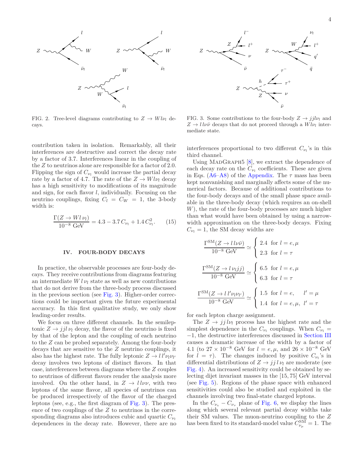

<span id="page-4-0"></span>FIG. 2. Tree-level diagrams contributing to  $Z \rightarrow W l \nu_l$  decays.

contribution taken in isolation. Remarkably, all their interferences are destructive and correct the decay rate by a factor of 3*.*7. Interferences linear in the coupling of the *Z* to neutrinos alone are responsible for a factor of 2*.*0. Flipping the sign of  $C_{\nu_l}$  would increase the partial decay rate by a factor of 4.7. The rate of the  $Z \rightarrow W l \nu_l$  decay has a high sensitivity to modifications of its magnitude and sign, for each flavor *l*, individually. Focusing on the neutrino couplings, fixing  $C_l = C_W = 1$ , the 3-body width is:

$$
\frac{\Gamma(Z \to W l \nu_l)}{10^{-8} \text{ GeV}} = 4.3 - 3.7 C_{\nu_l} + 1.4 C_{\nu_l}^2. \tag{15}
$$

### **IV. FOUR-BODY DECAYS**

In practice, the observable processes are four-body decays. They receive contributions from diagrams featuring an intermediate  $W l \nu_l$  state as well as new contributions that do not derive from the three-body process discussed in the previous section (see [Fig. 3\)](#page-4-1). Higher-order corrections could be important given the future experimental accuracy. In this first qualitative study, we only show leading-order results.

We focus on three different channels. In the semileptonic  $Z \rightarrow jjl \nu_l$  decay, the flavor of the neutrino is fixed by that of the lepton and the coupling of each neutrino to the *Z* can be probed separately. Among the four-body decays that are sensitive to the *Z* neutrino couplings, it also has the highest rate. The fully leptonic  $Z \rightarrow l \, l' \nu_l \nu_l$ decay involves two leptons of distinct flavors. In that case, interferences between diagrams where the *Z* couples to neutrinos of different flavors render the analysis more involved. On the other hand, in  $Z \rightarrow l l \nu \nu$ , with two leptons of the same flavor, all species of neutrinos can be produced irrespectively of the flavor of the charged leptons (see, e.g., the first diagram of [Fig. 3\)](#page-4-1). The presence of two couplings of the *Z* to neutrinos in the corresponding diagrams also introduces cubic and quartic *Cν<sup>l</sup>* dependences in the decay rate. However, there are no



<span id="page-4-1"></span>FIG. 3. Some contributions to the four-body  $Z \rightarrow jjl\nu_l$  and  $Z \rightarrow l \, l \nu \bar{\nu}$  decays that do not proceed through a  $W l \nu_l$  intermediate state.

interferences proportional to two different  $C_{\nu_i}$ 's in this third channel.

Using MADGRAPH5 [\[8](#page-7-7)], we extract the dependence of each decay rate on the  $C_{\nu_l}$  coefficients. These are given in Eqs. ( $A6-A8$ ) of the [Appendix.](#page-6-1) The  $\tau$  mass has been kept nonvanishing and marginally affects some of the numerical factors. Because of additional contributions to the four-body decays and of the small phase space available in the three-body decay (which requires an on-shell *W*), the rate of the four-body processes are much higher than what would have been obtained by using a narrowwidth approximation on the three-body decays. Fixing  $C_{\nu_l} = 1$ , the SM decay widths are

$$
\frac{\Gamma^{\text{SM}}(Z \to l l \nu \bar{\nu})}{10^{-8} \text{ GeV}} \simeq \begin{cases} 2.4 \text{ for } l = e, \mu \\ 2.3 \text{ for } l = \tau \end{cases}
$$

$$
\frac{\Gamma^{\text{SM}}(Z \to l \nu_l j j)}{10^{-8} \text{ GeV}} \simeq \begin{cases} 6.5 \text{ for } l = e, \mu \\ 6.3 \text{ for } l = \tau \end{cases}
$$

$$
\frac{\Gamma^{\text{SM}}(Z \to l l' \nu_l \nu_{l'})}{10^{-8} \text{ GeV}} \simeq \begin{cases} 1.5 \text{ for } l = e, & l' = \mu \\ 1.4 \text{ for } l = e, \mu, & l' = \tau \end{cases}
$$

for each lepton charge assignment.

The  $Z \rightarrow jj l \nu_l$  process has the highest rate and the simplest dependence in the  $C_{\nu_l}$  couplings. When  $C_{\nu_l}$  = −1, the destructive interferences discussed in [Section III](#page-3-4) causes a dramatic increase of the width by a factor of 4.1 (to  $27 \times 10^{-8}$  GeV for  $l = e, \mu$ , and  $26 \times 10^{-8}$  GeV for  $l = \tau$ ). The changes induced by positive  $C_{\nu_l}$ 's in differential distributions of  $Z \rightarrow jj \ell \nu_l$  are moderate (see [Fig. 4\)](#page-5-0). An increased sensitivity could be obtained by selecting dijet invariant masses in the [15*,* 75] GeV interval (see [Fig. 5\)](#page-5-1). Regions of the phase space with enhanced sensitivities could also be studied and exploited in the channels involving two final-state charged leptons.

In the  $C_{\nu_e} - C_{\nu_\tau}$  plane of [Fig. 6,](#page-6-2) we display the lines along which several relevant partial decay widths take their SM values. The muon-neutrino coupling to the *Z* has been fixed to its standard-model value  $C_{\nu_{\mu}}^{\rm SM} = 1$ . The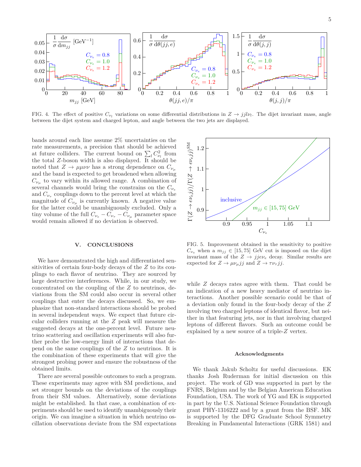

<span id="page-5-0"></span>FIG. 4. The effect of positive  $C_{\nu_l}$  variations on some differential distributions in  $Z \to jjl\nu_l$ . The dijet invariant mass, angle between the dijet system and charged lepton, and angle between the two jets are displayed.

bands around each line assume 2% uncertainties on the rate measurements, a precision that should be achieved at future colliders. The current bound on  $\sum_l C_{\nu_l}^2$  from the total *Z*-boson width is also displayed. It should be noted that  $Z \rightarrow \mu\mu\nu\nu$  has a strong dependence on  $C_{\nu_\mu}$ and the band is expected to get broadened when allowing  $C_{\nu_{\mu}}$  to vary within its allowed range. A combination of several channels would bring the constrains on the  $C_{\nu_e}$ and  $C_{\nu_{\tau}}$  couplings down to the percent level at which the magnitude of  $C_{\nu_{\mu}}$  is currently known. A negative value for the latter could be unambiguously excluded. Only a tiny volume of the full  $C_{\nu_e} - C_{\nu_\tau} - C_{\nu_\mu}$  parameter space would remain allowed if no deviation is observed.

#### **V. CONCLUSIONS**

We have demonstrated the high and differentiated sensitivities of certain four-body decays of the *Z* to its couplings to each flavor of neutrino. They are sourced by large destructive interferences. While, in our study, we concentrated on the coupling of the *Z* to neutrinos, deviations from the SM could also occur in several other couplings that enter the decays discussed. So, we emphasize that non-standard interactions should be probed in several independent ways. We expect that future circular colliders running at the *Z* peak will measure the suggested decays at the one-percent level. Future neutrino scattering and oscillation experiments will also further probe the low-energy limit of interactions that depend on the same couplings of the *Z* to neutrinos. It is the combination of these experiments that will give the strongest probing power and ensure the robustness of the obtained limits.

There are several possible outcomes to such a program. These experiments may agree with SM predictions, and set stronger bounds on the deviations of the couplings from their SM values. Alternatively, some deviations might be established. In that case, a combination of experiments should be used to identify unambiguously their origin. We can imagine a situation in which neutrino oscillation observations deviate from the SM expectations



<span id="page-5-1"></span>FIG. 5. Improvement obtained in the sensitivity to positive  $C_{\nu_e}$  when a  $m_{jj} \in [15, 75]$  GeV cut is imposed on the dijet invariant mass of the  $Z \rightarrow jj e \nu_e$  decay. Similar results are expected for  $Z \to \mu \nu_{\mu} j j$  and  $Z \to \tau \nu_{\tau} j j$ .

while *Z* decays rates agree with them. That could be an indication of a new heavy mediator of neutrino interactions. Another possible scenario could be that of a deviation only found in the four-body decay of the *Z* involving two charged leptons of identical flavor, but neither in that featuring jets, nor in that involving charged leptons of different flavors. Such an outcome could be explained by a new source of a triple-*Z* vertex.

# **Acknowledgments**

We thank Jakub Scholtz for useful discussions. EK thanks Josh Ruderman for initial discussion on this project. The work of GD was supported in part by the FNRS, Belgium and by the Belgian American Education Foundation, USA. The work of YG and EK is supported in part by the U.S. National Science Foundation through grant PHY-1316222 and by a grant from the BSF. MK is supported by the DFG Graduate School Symmetry Breaking in Fundamental Interactions (GRK 1581) and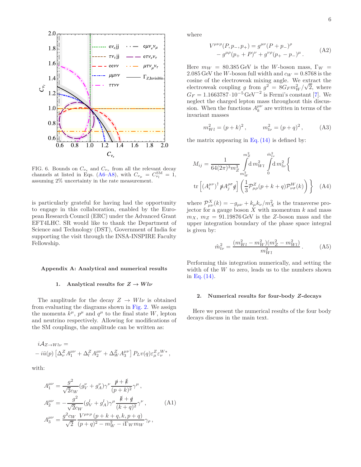

<span id="page-6-2"></span>FIG. 6. Bounds on  $C_{\nu_e}$  and  $C_{\nu_\tau}$  from all the relevant decay channels at listed in Eqs. [\(A6–A8\)](#page-7-23), with  $C_{\nu_{\mu}} = C_{\nu_l}^{\text{SM}} = 1$ , assuming 2% uncertainty in the rate measurement.

is particularly grateful for having had the opportunity to engage in this collaboration, enabled by the European Research Council (ERC) under the Advanced Grant EFT4LHC. SR would like to thank the Department of Science and Technology (DST), Government of India for supporting the visit through the INSA-INSPIRE Faculty Fellowship.

#### **Appendix A: Analytical and numerical results**

#### <span id="page-6-0"></span>**1.** Analytical results for  $Z \to W l \nu$

The amplitude for the decay  $Z \to W l \nu$  is obtained from evaluating the diagrams shown in [Fig. 2.](#page-4-0) We assign the momenta  $k^{\mu}$ ,  $p^{\mu}$  and  $q^{\mu}$  to the final state *W*, lepton and neutrino respectively. Allowing for modifications of the SM couplings, the amplitude can be written as:

$$
i{\cal A}_{Z\to Wl\nu} =- i\bar{u}(p) \left[ \Delta_\nu^Z A_1^{\mu\nu} + \Delta_l^Z A_2^{\mu\nu} + \Delta_W^Z A_3^{\mu\nu} \right] P_L v(q) \varepsilon_\mu^Z \varepsilon_\nu^{W*} ,
$$

with:

$$
A_1^{\mu\nu} = \frac{g^2}{\sqrt{2}c_W} (g_V^{\nu} + g_A^{\nu}) \gamma^{\nu} \frac{\rlap/v}{(p+k)^2} \gamma^{\mu},
$$
  
\n
$$
A_2^{\mu\nu} = -\frac{g^2}{\sqrt{2}c_W} (g_V^{\nu} + g_A^{\nu}) \gamma^{\mu} \frac{\rlap/v}{(k+q)^2} \gamma^{\nu},
$$
  
\n
$$
A_3^{\mu\nu} = \frac{g^2 c_W}{\sqrt{2}} \frac{V^{\mu\nu\rho} (p+k+q, k, p+q)}{(p+q)^2 - m_W^2 - i \Gamma_W m_W} \gamma_\rho,
$$
\n(A1)

where

$$
V^{\mu\nu\rho}(P, p_-, p_+) = g^{\mu\nu}(P + p_-)^{\rho}
$$
  
-  $g^{\mu\rho}(p_+ + P)^{\nu} + g^{\nu\rho}(p_+ - p_-)^{\mu}$ . (A2)

Here  $m_W = 80.385 \,\text{GeV}$  is the *W*-boson mass,  $\Gamma_W =$ 2.085 GeV the *W*-boson full width and  $c_W = 0.8768$  is the cosine of the electroweak mixing angle. We extract the electroweak coupling *g* from  $g^2 = 8G_F m_W^2 / \sqrt{2}$ , where  $G_F = 1.1663787 \cdot 10^{-5} \,\text{GeV}^{-2}$  is Fermi's constant [\[7\]](#page-7-6). We neglect the charged lepton mass throughout this discussion. When the functions  $A_k^{\mu\nu}$  are written in terms of the invariant masses

$$
m_{Wl}^2 = (p + k)^2, \qquad m_{l\nu}^2 = (p + q)^2, \qquad \text{(A3)}
$$

the matrix appearing in Eq.  $(14)$  is defined by:

$$
M_{ij} = \frac{1}{64(2\pi)^3 m_Z^3} \int_{m_W^2}^{m_Z^2} dm_{Wl}^2 \int_0^{\hat{m}_{l\nu}^2} dm_{l\nu}^2 \left\{ \text{tr} \left[ \left( A_i^{\mu\nu} \right)^{\dagger} \rlap/p A_j^{\rho\sigma} \rlap/q \right] \left( \frac{1}{3} \mathcal{P}_{\mu\rho}^Z(p+k+q) \mathcal{P}_{\nu\sigma}^W(k) \right) \right\} \quad (A4)
$$

where  $\mathcal{P}_{\mu\nu}^{X}(k) = -g_{\mu\nu} + k_{\mu}k_{\nu}/m_{X}^{2}$  is the transverse projector for a gauge boson *X* with momentum *k* and mass  $m_X$ ,  $m_Z$  = 91.19876 GeV is the *Z*-boson mass and the upper integration boundary of the phase space integral is given by:

$$
\hat{m}_{l\nu}^2 = \frac{(m_{Wl}^2 - m_W^2)(m_Z^2 - m_{Wl}^2)}{m_{Wl}^2}.
$$
 (A5)

Performing this integration numerically, and setting the width of the *W* to zero, leads us to the numbers shown in [Eq. \(14\).](#page-3-5)

# <span id="page-6-1"></span>**2. Numerical results for four-body** *Z***-decays**

Here we present the numerical results of the four body decays discuss in the main text.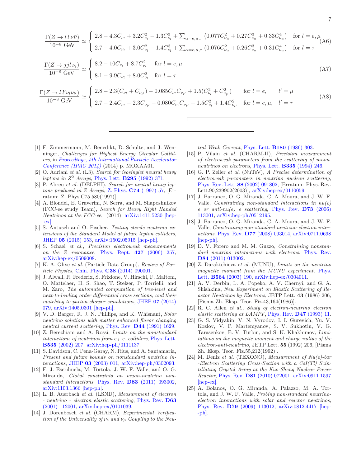<span id="page-7-23"></span>
$$
\frac{\Gamma(Z \to l l \nu \bar{\nu})}{10^{-8} \text{ GeV}} \simeq \begin{cases} 2.8 - 4.3 C_{\nu_l} + 3.2 C_{\nu_l}^2 - 1.3 C_{\nu_l}^3 + \sum_{\alpha = e, \mu, \tau} (0.077 C_{\nu_\alpha}^2 + 0.27 C_{\nu_\alpha}^3 + 0.33 C_{\nu_\alpha}^4) & \text{for } l = e, \mu \ 2.7 - 4.0 C_{\nu_l} + 3.0 C_{\nu_l}^2 - 1.4 C_{\nu_l}^3 + \sum_{\alpha = e, \mu, \tau} (0.076 C_{\nu_\alpha}^2 + 0.26 C_{\nu_\alpha}^3 + 0.31 C_{\nu_\alpha}^4) & \text{for } l = \tau \end{cases} (A6)
$$
\n
$$
\frac{\Gamma(Z \to j j l \nu_l)}{10^{-8} \text{ GeV}} \simeq \begin{cases} 8.2 - 10 C_{\nu_l} + 8.7 C_{\nu_l}^2 & \text{for } l = e, \mu \ 8.1 - 9.9 C_{\nu_l} + 8.0 C_{\nu_l}^2 & \text{for } l = \tau \end{cases} (A7)
$$
\n
$$
\frac{\Gamma(Z \to l l' \nu_l \nu_l)}{10^{-8} \text{ GeV}} \simeq \begin{cases} 2.8 - 2.3 (C_{\nu_l} + C_{\nu_{l'}}) - 0.085 C_{\nu_l} C_{\nu_{l'}} + 1.5 (C_{\nu_l}^2 + C_{\nu_{l'}}^2) & \text{for } l = e, \quad l' = \mu \ 2.7 - 2.4 C_{\nu_l} - 2.3 C_{\nu_{l'}} - 0.080 C_{\nu_l} C_{\nu_{l'}} + 1.5 C_{\nu_l}^2 + 1.4 C_{\nu_l}^2 & \text{for } l = e, \mu, \quad l' = \tau \end{cases} (A8)
$$

- <span id="page-7-0"></span>[1] F. Zimmermann, M. Benedikt, D. Schulte, and J. Wenninger, *Challenges for Highest Energy Circular Colliders*, in *Proceedings, 5th International Particle Accelerator Conference (IPAC 2014)* (2014) p. MOXAA01.
- <span id="page-7-1"></span>[2] O. Adriani *et al.* (L3), *Search for isosinglet neutral heavy leptons in Z* 0 *decays*, [Phys. Lett.](http://dx.doi.org/10.1016/0370-2693(92)91579-X) **B295** (1992) 371.
- <span id="page-7-2"></span>[3] P. Abreu *et al.* (DELPHI), *Search for neutral heavy leptons produced in Z decays*, Z. Phys. **C74** [\(1997\) 57,](http://dx.doi.org/10.1007/s002880050370) [Erratum: Z. Phys.C75,580(1997)].
- <span id="page-7-3"></span>[4] A. Blondel, E. Graverini, N. Serra, and M. Shaposhnikov (FCC-ee study Team), *Search for Heavy Right Handed Neutrinos at the FCC-ee*, (2014), arXiv:1411.5230 [hep-  $-ex$ ].
- <span id="page-7-4"></span>[5] S. Antusch and O. Fischer, *Testing sterile neutrino extensions of the Standard Model at future lepton colliders*, JHEP **05** [\(2015\) 053,](http://dx.doi.org/10.1007/JHEP05(2015)053) [arXiv:1502.05915 \[hep-ph\].](http://arxiv.org/abs/1502.05915)
- <span id="page-7-5"></span>[6] S. Schael *et al.*, *Precision electroweak measurements on the Z resonance*, [Phys. Rept.](http://dx.doi.org/10.1016/j.physrep.2005.12.006) **427** (2006) 257, [arXiv:hep-ex/0509008.](http://arxiv.org/abs/hep-ex/0509008)
- <span id="page-7-6"></span>[7] K. A. Olive *et al.* (Particle Data Group), *Review of Particle Physics*, Chin. Phys. **C38** [\(2014\) 090001.](http://dx.doi.org/10.1088/1674-1137/38/9/090001)
- <span id="page-7-7"></span>[8] J. Alwall, R. Frederix, S. Frixione, V. Hirschi, F. Maltoni, O. Mattelaer, H. S. Shao, T. Stelzer, P. Torrielli, and M. Zaro, *The automated computation of tree-level and next-to-leading order differential cross sections, and their matching to parton shower simulations*, JHEP **07** (2014) 079, [arXiv:1405.0301 \[hep-ph\].](http://arxiv.org/abs/1405.0301)
- <span id="page-7-8"></span>[9] V. D. Barger, R. J. N. Phillips, and K. Whisnant, *Solar neutrino solutions with matter enhanced flavor changing neutral current scattering*, Phys. Rev. **D44** [\(1991\) 1629.](http://dx.doi.org/10.1103/PhysRevD.44.1629)
- [10] Z. Berezhiani and A. Rossi, *Limits on the nonstandard interactions of neutrinos from e+ e- colliders*, Phys. Lett. **B535** (2002) 207, [arXiv:hep-ph/0111137.](http://arxiv.org/abs/hep-ph/0111137)
- <span id="page-7-21"></span>[11] S. Davidson, C. Pena-Garay, N. Rius, and A. Santamaria, *Present and future bounds on nonstandard neutrino interactions*, JHEP **03** [\(2003\) 011,](http://dx.doi.org/ 10.1088/1126-6708/2003/03/011) [arXiv:hep-ph/0302093.](http://arxiv.org/abs/hep-ph/0302093)
- <span id="page-7-9"></span>[12] F. J. Escrihuela, M. Tortola, J. W. F. Valle, and O. G. Miranda, *Global constraints on muon-neutrino nonstandard interactions*, Phys. Rev. **D83** [\(2011\) 093002,](http://dx.doi.org/10.1103/PhysRevD.83.093002) [arXiv:1103.1366 \[hep-ph\].](http://arxiv.org/abs/1103.1366)
- <span id="page-7-10"></span>[13] L. B. Auerbach *et al.* (LSND), *Measurement of electron - neutrino - electron elastic scattering*, Phys. Rev. **D63** (2001) 112001, [arXiv:hep-ex/0101039.](http://arxiv.org/abs/hep-ex/0101039)
- <span id="page-7-11"></span>[14] J. Dorenbosch *et al.* (CHARM), *Experimental Verification of the Universality of*  $\nu_e$  *and*  $\nu_\mu$  *Coupling to the Neu-*

*tral Weak Current*, [Phys. Lett.](http://dx.doi.org/10.1016/0370-2693(86)90315-1) **B180** (1986) 303.

- <span id="page-7-12"></span>[15] P. Vilain *et al.* (CHARM-II), *Precision measurement of electroweak parameters from the scattering of muonneutrinos on electrons*, [Phys. Lett.](http://dx.doi.org/10.1016/0370-2693(94)91421-4) **B335** (1994) 246.
- <span id="page-7-13"></span>[16] G. P. Zeller *et al.* (NuTeV), *A Precise determination of electroweak parameters in neutrino nucleon scattering*, [Phys. Rev. Lett.](http://dx.doi.org/ 10.1103/PhysRevLett.88.091802) **88** (2002) 091802, [Erratum: Phys. Rev. Lett.90,239902(2003)], [arXiv:hep-ex/0110059.](http://arxiv.org/abs/hep-ex/0110059)
- <span id="page-7-14"></span>[17] J. Barranco, O. G. Miranda, C. A. Moura, and J. W. F. Valle, *Constraining non-standard interactions in nu(e) e or anti-nu(e) e scattering*, Phys. Rev. **D73** (2006) 113001, [arXiv:hep-ph/0512195.](http://arxiv.org/abs/hep-ph/0512195)
- [18] J. Barranco, O. G. Miranda, C. A. Moura, and J. W. F. Valle, *Constraining non-standard neutrino-electron interactions*, Phys. Rev. **D77** [\(2008\) 093014,](http://dx.doi.org/ 10.1103/PhysRevD.77.093014) arXiv:0711.0698 [hep-ph].
- <span id="page-7-15"></span>[19] D. V. Forero and M. M. Guzzo, *Constraining nonstandard neutrino interactions with electrons*, Phys. Rev. **D84** (2011) 013002.
- <span id="page-7-16"></span>[20] Z. Daraktchieva *et al.* (MUNU), *Limits on the neutrino magnetic moment from the MUNU experiment*, Phys. Lett. **B564** (2003) 190, [arXiv:hep-ex/0304011.](http://arxiv.org/abs/hep-ex/0304011)
- <span id="page-7-17"></span>[21] A. V. Derbin, L. A. Popeko, A. V. Chernyi, and G. A. Shishkina, *New Experiment on Elastic Scattering of Reactor Neutrinos by Electrons*, JETP Lett. **43** (1986) 206, [Pisma Zh. Eksp. Teor. Fiz.43,164(1986)].
- <span id="page-7-18"></span>[22] R. C. Allen *et al.*, *Study of electron-neutrino electron elastic scattering at LAMPF*, [Phys. Rev.](http://dx.doi.org/10.1103/PhysRevD.47.11) **D47** (1993) 11.
- <span id="page-7-19"></span>[23] G. S. Vidyakin, V. N. Vyrodov, I. I. Gurevich, Yu. V. Kozlov, V. P. Martemyanov, S. V. Sukhotin, V. G. Tarasenkov, E. V. Turbin, and S. K. Khakhimov, *Limitations on the magnetic moment and charge radius of the electron-anti-neutrino*, JETP Lett. **55** (1992) 206, [Pisma Zh. Eksp. Teor. Fiz.55,212(1992)].
- <span id="page-7-20"></span>[24] M. Deniz *et al.* (TEXONO), *Measurement of Nu(e)-bar -Electron Scattering Cross-Section with a CsI(Tl) Scintillating Crystal Array at the Kuo-Sheng Nuclear Power Reactor*, Phys. Rev. **D81** [\(2010\) 072001,](http://dx.doi.org/ 10.1103/PhysRevD.81.072001) arXiv:0911.1597 [hep-ex].
- <span id="page-7-22"></span>[25] A. Bolanos, O. G. Miranda, A. Palazzo, M. A. Tortola, and J. W. F. Valle, *Probing non-standard neutrinoelectron interactions with solar and reactor neutrinos*, Phys. Rev. **D79** [\(2009\) 113012,](http://dx.doi.org/ 10.1103/PhysRevD.79.113012) arXiv:0812.4417 [hep- -ph].